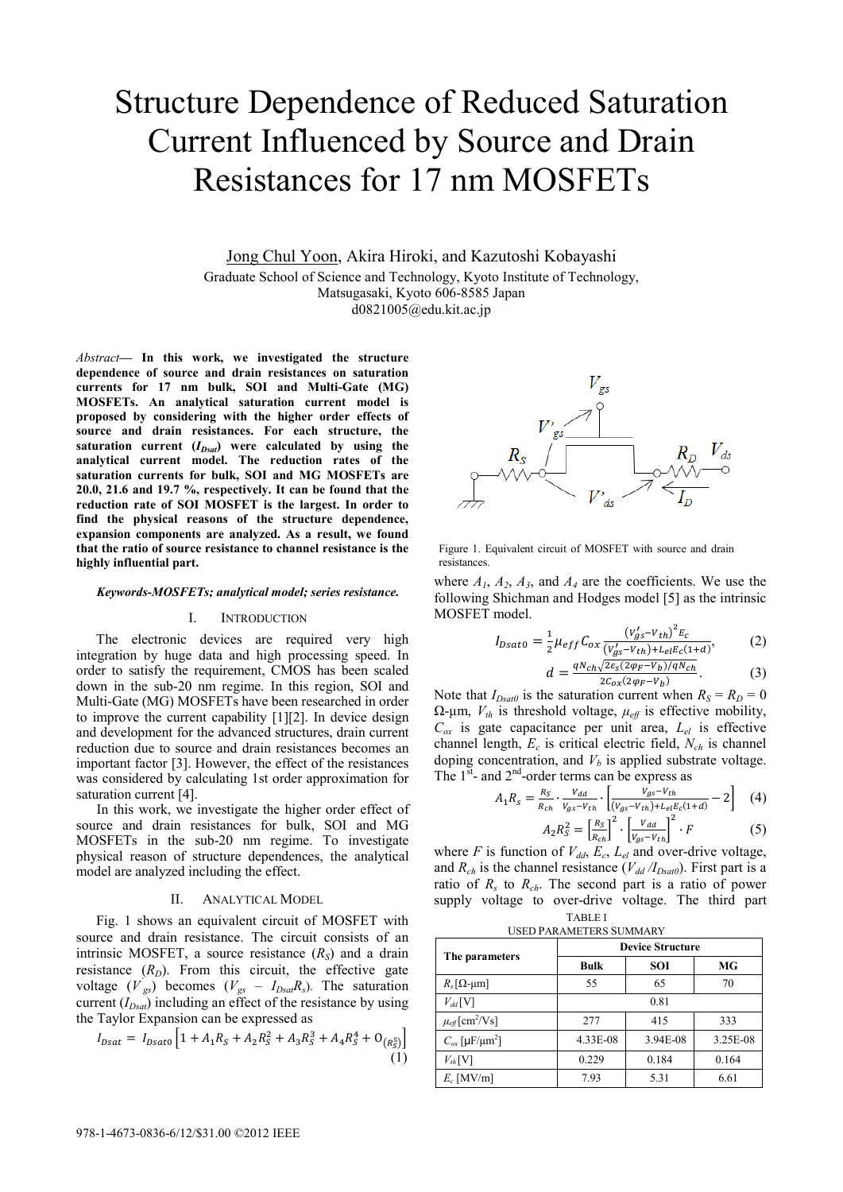# Structure Dependence of Reduced Saturation Current Influenced by Source and Drain Resistances for 17 nm MOSFETs

Jong Chul Yoon, Akira Hiroki, and Kazutoshi Kobayashi

Graduate School of Science and Technology, Kyoto Institute of Technology, Matsugasaki, Kyoto 606-8585 Japan d0821005@edu.kit.ac.jp

*Abstract***— In this work, we investigated the structure dependence of source and drain resistances on saturation currents for 17 nm bulk, SOI and Multi-Gate (MG) MOSFETs. An analytical saturation current model is proposed by considering with the higher order effects of source and drain resistances. For each structure, the**  saturation current  $(I_{Dsd})$  were calculated by using the **analytical current model. The reduction rates of the saturation currents for bulk, SOI and MG MOSFETs are 20.0, 21.6 and 19.7 %, respectively. It can be found that the reduction rate of SOI MOSFET is the largest. In order to find the physical reasons of the structure dependence, expansion components are analyzed. As a result, we found that the ratio of source resistance to channel resistance is the highly influential part.** 

#### *Keywords-MOSFETs; analytical model; series resistance.*

#### I. INTRODUCTION

The electronic devices are required very high integration by huge data and high processing speed. In order to satisfy the requirement, CMOS has been scaled down in the sub-20 nm regime. In this region, SOI and Multi-Gate (MG) MOSFETs have been researched in order to improve the current capability [1][2]. In device design and development for the advanced structures, drain current reduction due to source and drain resistances becomes an important factor [3]. However, the effect of the resistances was considered by calculating 1st order approximation for saturation current [4].

In this work, we investigate the higher order effect of source and drain resistances for bulk, SOI and MG MOSFETs in the sub-20 nm regime. To investigate physical reason of structure dependences, the analytical model are analyzed including the effect.

## II. ANALYTICAL MODEL

Fig. 1 shows an equivalent circuit of MOSFET with source and drain resistance. The circuit consists of an intrinsic MOSFET, a source resistance  $(R<sub>S</sub>)$  and a drain resistance  $(R_D)$ . From this circuit, the effective gate voltage  $(V_{gs})$  becomes  $(V_{gs} - I_{Dsa}R_s)$ . The saturation current  $(I_{Dsd})$  including an effect of the resistance by using the Taylor Expansion can be expressed as

$$
I_{Dsat} = I_{Dsato} \left[ 1 + A_1 R_S + A_2 R_S^2 + A_3 R_S^3 + A_4 R_S^4 + O_{R_S^5} \right] \tag{1}
$$



Figure 1. Equivalent circuit of MOSFET with source and drain resistances.

where  $A_1$ ,  $A_2$ ,  $A_3$ , and  $A_4$  are the coefficients. We use the following Shichman and Hodges model [5] as the intrinsic MOSFET model.

$$
I_{Dsato} = \frac{1}{2} \mu_{eff} C_{ox} \frac{(v_{gs}' - v_{th})^2 E_c}{(v_{gs}' - v_{th}) + L_{el} E_c (1+d)},
$$
(2)  

$$
A = \frac{qN_{ch} \sqrt{2 \varepsilon_s (2 \varphi_F - v_b)/qN_{ch}}}{(2)}
$$

 $d = \frac{qN_{ch}\sqrt{2\varepsilon_s(2\varphi_F - V_b)/qN_{ch}}}{2c_{ox}(2\varphi_F - V_b)}.$  (3) Note that  $I_{Dsat0}$  is the saturation current when  $R_S = R_D = 0$ 

 $Ω$ -μm,  $V<sub>th</sub>$  is threshold voltage,  $μ<sub>eff</sub>$  is effective mobility,  $C_{ox}$  is gate capacitance per unit area,  $L_{el}$  is effective channel length, *Ec* is critical electric field, *Nch* is channel doping concentration, and  $V_b$  is applied substrate voltage. The  $1<sup>st</sup>$ - and  $2<sup>nd</sup>$ -order terms can be express as

$$
A_1 R_s = \frac{R_s}{R_{ch}} \cdot \frac{V_{dd}}{V_{gs} - V_{th}} \cdot \left[ \frac{V_{gs} - V_{th}}{(V_{gs} - V_{th}) + L_{el} E_c (1 + d)} - 2 \right] \tag{4}
$$

$$
A_2 R_S^2 = \left[\frac{R_S}{R_{ch}}\right]^2 \cdot \left[\frac{V_{dd}}{V_{gs} - V_{th}}\right]^2 \cdot F
$$
 (5)

TABLE I where *F* is function of  $V_{dd}$ ,  $E_c$ ,  $L_{el}$  and over-drive voltage, and  $R_{ch}$  is the channel resistance ( $V_{dd}/I_{Dsat0}$ ). First part is a ratio of  $R_s$  to  $R_{ch}$ . The second part is a ratio of power supply voltage to over-drive voltage. The third part

| <b>USED PARAMETERS SUMMARY</b> |  |
|--------------------------------|--|

| The parameters                           | <b>Device Structure</b> |            |          |  |
|------------------------------------------|-------------------------|------------|----------|--|
|                                          | <b>Bulk</b>             | <b>SOI</b> | MG       |  |
| $R_s[\Omega$ -µm]                        | 55                      | 65         | 70       |  |
| $V_{dd}$ [V]                             | 0.81                    |            |          |  |
| $\mu_{\text{eff}}$ [cm <sup>2</sup> /Vs] | 277                     | 415        | 333      |  |
| $C_{ox}$ [µF/µm <sup>2</sup> ]           | 4.33E-08                | 3.94E-08   | 3.25E-08 |  |
| $V_{th}$ [V]                             | 0.229                   | 0.184      | 0.164    |  |
| $E_c$ [MV/m]                             | 7.93                    | 5.31       | 6.61     |  |